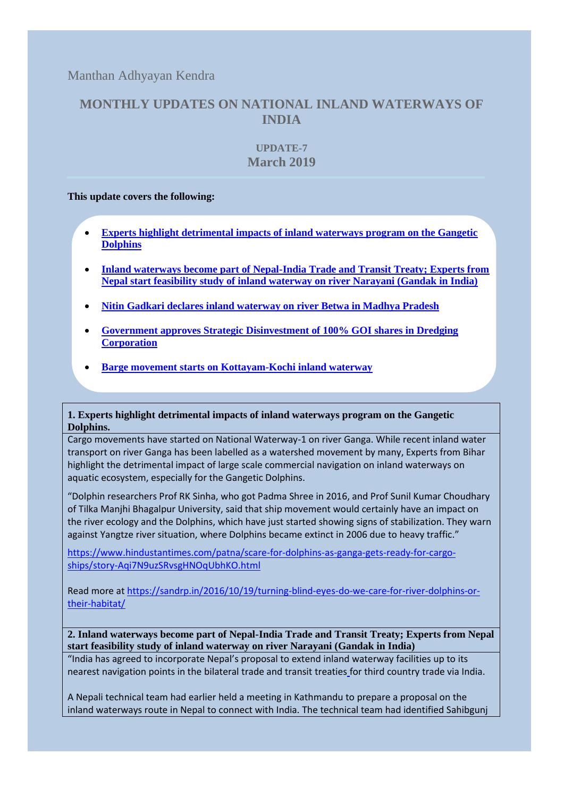Manthan Adhyayan Kendra

# **MONTHLY UPDATES ON NATIONAL INLAND WATERWAYS OF INDIA**

## **UPDATE-7 March 2019**

### **This update covers the following:**

- **[Experts highlight detrimental impacts of inland waterways program on the Gangetic](#page-0-0)  [Dolphins](#page-0-0)**
- **[Inland waterways become part of Nepal-India Trade and Transit Treaty; Experts from](#page-0-1)  [Nepal start feasibility study of inland waterway on river Narayani \(Gandak in India\)](#page-0-1)**
- **[Nitin Gadkari declares inland waterway on river Betwa in Madhya Pradesh](#page-1-0)**
- **[Government approves Strategic Disinvestment of 100% GOI shares in Dredging](#page-1-1)  [Corporation](#page-1-1)**
- **Barge movement starts [on Kottayam-Kochi inland waterway](#page-2-0)**

### <span id="page-0-0"></span>**1. Experts highlight detrimental impacts of inland waterways program on the Gangetic Dolphins.**

Cargo movements have started on National Waterway-1 on river Ganga. While recent inland water transport on river Ganga has been labelled as a watershed movement by many, Experts from Bihar highlight the detrimental impact of large scale commercial navigation on inland waterways on aquatic ecosystem, especially for the Gangetic Dolphins.

"Dolphin researchers Prof RK Sinha, who got Padma Shree in 2016, and Prof Sunil Kumar Choudhary of Tilka Manjhi Bhagalpur University, said that ship movement would certainly have an impact on the river ecology and the Dolphins, which have just started showing signs of stabilization. They warn against Yangtze river situation, where Dolphins became extinct in 2006 due to heavy traffic."

[https://www.hindustantimes.com/patna/scare-for-dolphins-as-ganga-gets-ready-for-cargo](https://www.hindustantimes.com/patna/scare-for-dolphins-as-ganga-gets-ready-for-cargo-ships/story-Aqi7N9uzSRvsgHNOqUbhKO.html)[ships/story-Aqi7N9uzSRvsgHNOqUbhKO.html](https://www.hindustantimes.com/patna/scare-for-dolphins-as-ganga-gets-ready-for-cargo-ships/story-Aqi7N9uzSRvsgHNOqUbhKO.html)

Read more at [https://sandrp.in/2016/10/19/turning-blind-eyes-do-we-care-for-river-dolphins-or](https://sandrp.in/2016/10/19/turning-blind-eyes-do-we-care-for-river-dolphins-or-their-habitat/)[their-habitat/](https://sandrp.in/2016/10/19/turning-blind-eyes-do-we-care-for-river-dolphins-or-their-habitat/)

<span id="page-0-1"></span>**2. Inland waterways become part of Nepal-India Trade and Transit Treaty; Experts from Nepal start feasibility study of inland waterway on river Narayani (Gandak in India)**

"India has agreed to incorporate Nepal's proposal to extend inland waterway facilities up to its nearest navigation points in the [bilateral trade and transit treaties](http://kathmandupost.ekantipur.com/news/2019-03-05/nepal-prepares-wishlist-for-transit-treaty-talks-with-india.html) for third country trade via India.

A Nepali technical team had earlier held a meeting in Kathmandu to prepare a proposal on the inland waterways route in Nepal to connect with India. The technical team had identified Sahibgunj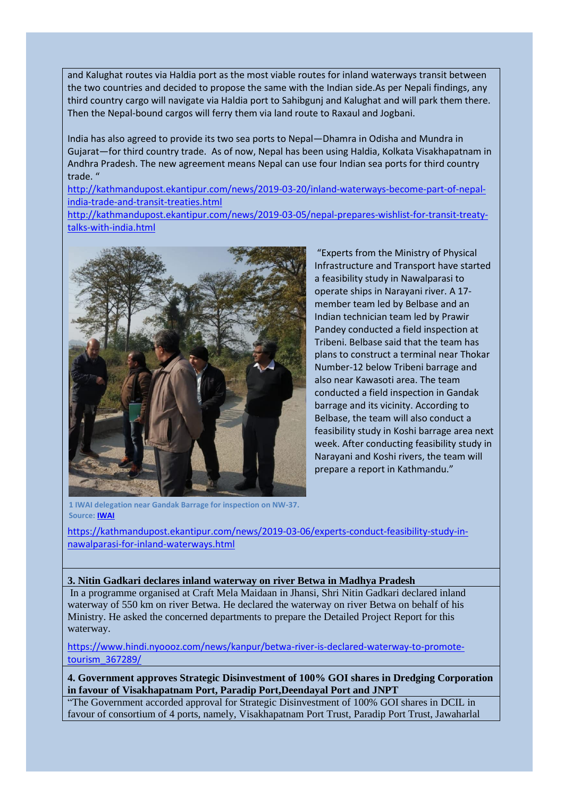and Kalughat routes via Haldia port as the most viable routes for inland waterways transit between the two countries and decided to propose the same with the Indian side.As per Nepali findings, any third country cargo will navigate via Haldia port to Sahibgunj and Kalughat and will park them there. Then the Nepal-bound cargos will ferry them via land route to Raxaul and Jogbani.

India has also agreed to provide its two sea ports to Nepal—Dhamra in Odisha and Mundra in Gujarat—for third country trade. As of now, Nepal has been using Haldia, Kolkata Visakhapatnam in Andhra Pradesh. The new agreement means Nepal can use four Indian sea ports for third country trade. "

[http://kathmandupost.ekantipur.com/news/2019-03-20/inland-waterways-become-part-of-nepal](http://kathmandupost.ekantipur.com/news/2019-03-20/inland-waterways-become-part-of-nepal-india-trade-and-transit-treaties.html)[india-trade-and-transit-treaties.html](http://kathmandupost.ekantipur.com/news/2019-03-20/inland-waterways-become-part-of-nepal-india-trade-and-transit-treaties.html)

[http://kathmandupost.ekantipur.com/news/2019-03-05/nepal-prepares-wishlist-for-transit-treaty](http://kathmandupost.ekantipur.com/news/2019-03-05/nepal-prepares-wishlist-for-transit-treaty-talks-with-india.html)[talks-with-india.html](http://kathmandupost.ekantipur.com/news/2019-03-05/nepal-prepares-wishlist-for-transit-treaty-talks-with-india.html)



"Experts from the Ministry of Physical Infrastructure and Transport have started a feasibility study in Nawalparasi to operate ships in Narayani river. A 17 member team led by Belbase and an Indian technician team led by Prawir Pandey conducted a field inspection at Tribeni. Belbase said that the team has plans to construct a terminal near Thokar Number-12 below Tribeni barrage and also near Kawasoti area. The team conducted a field inspection in Gandak barrage and its vicinity. According to Belbase, the team will also conduct a feasibility study in Koshi barrage area next week. After conducting feasibility study in Narayani and Koshi rivers, the team will prepare a report in Kathmandu."

**1 IWAI delegation near Gandak Barrage for inspection on NW-37. Source[: IWAI](https://www.facebook.com/239604849793692/photos/pcb.605631566524350/605631496524357/?type=3&theater)**

[https://kathmandupost.ekantipur.com/news/2019-03-06/experts-conduct-feasibility-study-in](https://kathmandupost.ekantipur.com/news/2019-03-06/experts-conduct-feasibility-study-in-nawalparasi-for-inland-waterways.html)[nawalparasi-for-inland-waterways.html](https://kathmandupost.ekantipur.com/news/2019-03-06/experts-conduct-feasibility-study-in-nawalparasi-for-inland-waterways.html)

#### <span id="page-1-0"></span>**3. Nitin Gadkari declares inland waterway on river Betwa in Madhya Pradesh**

In a programme organised at Craft Mela Maidaan in Jhansi, Shri Nitin Gadkari declared inland waterway of 550 km on river Betwa. He declared the waterway on river Betwa on behalf of his Ministry. He asked the concerned departments to prepare the Detailed Project Report for this waterway.

[https://www.hindi.nyoooz.com/news/kanpur/betwa-river-is-declared-waterway-to-promote](https://www.hindi.nyoooz.com/news/kanpur/betwa-river-is-declared-waterway-to-promote-tourism_367289/)[tourism\\_367289/](https://www.hindi.nyoooz.com/news/kanpur/betwa-river-is-declared-waterway-to-promote-tourism_367289/)

<span id="page-1-1"></span>**4. Government approves Strategic Disinvestment of 100% GOI shares in Dredging Corporation in favour of Visakhapatnam Port, Paradip Port,Deendayal Port and JNPT**

"The Government accorded approval for Strategic Disinvestment of 100% GOI shares in DCIL in favour of consortium of 4 ports, namely, Visakhapatnam Port Trust, Paradip Port Trust, Jawaharlal